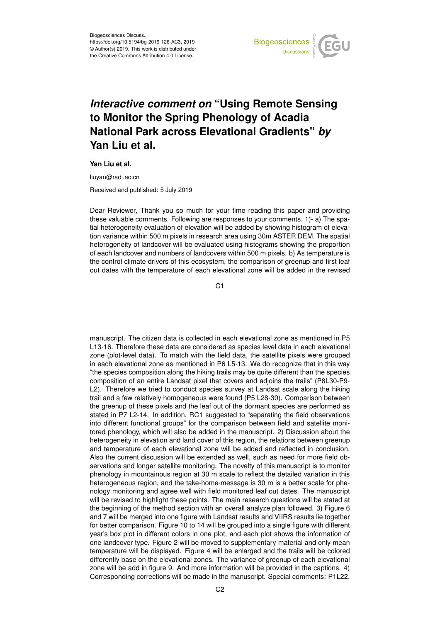

## *Interactive comment on* **"Using Remote Sensing to Monitor the Spring Phenology of Acadia National Park across Elevational Gradients"** *by* **Yan Liu et al.**

**Yan Liu et al.**

liuyan@radi.ac.cn

Received and published: 5 July 2019

Dear Reviewer, Thank you so much for your time reading this paper and providing these valuable comments. Following are responses to your comments. 1)- a) The spatial heterogeneity evaluation of elevation will be added by showing histogram of elevation variance within 500 m pixels in research area using 30m ASTER DEM. The spatial heterogeneity of landcover will be evaluated using histograms showing the proportion of each landcover and numbers of landcovers within 500 m pixels. b) As temperature is the control climate drivers of this ecosystem, the comparison of greenup and first leaf out dates with the temperature of each elevational zone will be added in the revised

C<sub>1</sub>

manuscript. The citizen data is collected in each elevational zone as mentioned in P5 L13-16. Therefore these data are considered as species level data in each elevational zone (plot-level data). To match with the field data, the satellite pixels were grouped in each elevational zone as mentioned in P6 L5-13. We do recognize that in this way "the species composition along the hiking trails may be quite different than the species composition of an entire Landsat pixel that covers and adjoins the trails" (P8L30-P9- L2). Therefore we tried to conduct species survey at Landsat scale along the hiking trail and a few relatively homogeneous were found (P5 L28-30). Comparison between the greenup of these pixels and the leaf out of the dormant species are performed as stated in P7 L2-14. In addition, RC1 suggested to "separating the field observations into different functional groups" for the comparison between field and satellite monitored phenology, which will also be added in the manuscript. 2) Discussion about the heterogeneity in elevation and land cover of this region, the relations between greenup and temperature of each elevational zone will be added and reflected in conclusion. Also the current discussion will be extended as well, such as need for more field observations and longer satellite monitoring. The novelty of this manuscript is to monitor phenology in mountainous region at 30 m scale to reflect the detailed variation in this heterogeneous region, and the take-home-message is 30 m is a better scale for phenology monitoring and agree well with field monitored leaf out dates. The manuscript will be revised to highlight these points. The main research questions will be stated at the beginning of the method section with an overall analyze plan followed. 3) Figure 6 and 7 will be merged into one figure with Landsat results and VIIRS results lie together for better comparison. Figure 10 to 14 will be grouped into a single figure with different year's box plot in different colors in one plot, and each plot shows the information of one landcover type. Figure 2 will be moved to supplementary material and only mean temperature will be displayed. Figure 4 will be enlarged and the trails will be colored differently base on the elevational zones. The variance of greenup of each elevational zone will be add in figure 9. And more information will be provided in the captions. 4) Corresponding corrections will be made in the manuscript. Special comments: P1L22,